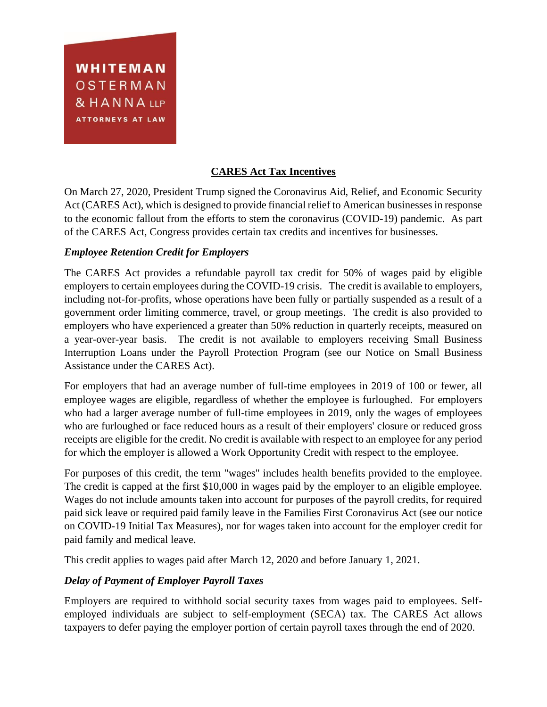WHITEMAN OSTERMAN & HANNA LLP ATTORNEYS AT LAW

# **CARES Act Tax Incentives**

On March 27, 2020, President Trump signed the Coronavirus Aid, Relief, and Economic Security Act (CARES Act), which is designed to provide financial relief to American businesses in response to the economic fallout from the efforts to stem the coronavirus (COVID-19) pandemic. As part of the CARES Act, Congress provides certain tax credits and incentives for businesses.

## *Employee Retention Credit for Employers*

The CARES Act provides a refundable payroll tax credit for 50% of wages paid by eligible employers to certain employees during the COVID-19 crisis. The credit is available to employers, including not-for-profits, whose operations have been fully or partially suspended as a result of a government order limiting commerce, travel, or group meetings. The credit is also provided to employers who have experienced a greater than 50% reduction in quarterly receipts, measured on a year-over-year basis. The credit is not available to employers receiving Small Business Interruption Loans under the Payroll Protection Program (see our Notice on Small Business Assistance under the CARES Act).

For employers that had an average number of full-time employees in 2019 of 100 or fewer, all employee wages are eligible, regardless of whether the employee is furloughed. For employers who had a larger average number of full-time employees in 2019, only the wages of employees who are furloughed or face reduced hours as a result of their employers' closure or reduced gross receipts are eligible for the credit. No credit is available with respect to an employee for any period for which the employer is allowed a Work Opportunity Credit with respect to the employee.

For purposes of this credit, the term "wages" includes health benefits provided to the employee. The credit is capped at the first \$10,000 in wages paid by the employer to an eligible employee. Wages do not include amounts taken into account for purposes of the payroll credits, for required paid sick leave or required paid family leave in the Families First Coronavirus Act (see our notice on COVID-19 Initial Tax Measures), nor for wages taken into account for the employer credit for paid family and medical leave.

This credit applies to wages paid after March 12, 2020 and before January 1, 2021.

## *Delay of Payment of Employer Payroll Taxes*

Employers are required to withhold social security taxes from wages paid to employees. Selfemployed individuals are subject to self-employment (SECA) tax. The CARES Act allows taxpayers to defer paying the employer portion of certain payroll taxes through the end of 2020.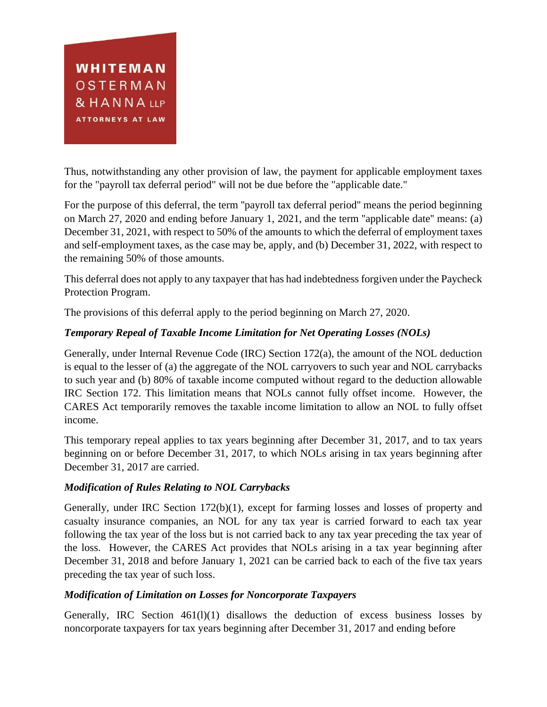

Thus, notwithstanding any other provision of law, the payment for applicable employment taxes for the "payroll tax deferral period" will not be due before the "applicable date."

For the purpose of this deferral, the term ''payroll tax deferral period'' means the period beginning on March 27, 2020 and ending before January 1, 2021, and the term ''applicable date'' means: (a) December 31, 2021, with respect to 50% of the amounts to which the deferral of employment taxes and self-employment taxes, as the case may be, apply, and (b) December 31, 2022, with respect to the remaining 50% of those amounts.

This deferral does not apply to any taxpayer that has had indebtedness forgiven under the Paycheck Protection Program.

The provisions of this deferral apply to the period beginning on March 27, 2020.

# *Temporary Repeal of Taxable Income Limitation for Net Operating Losses (NOLs)*

Generally, under Internal Revenue Code (IRC) Section 172(a), the amount of the NOL deduction is equal to the lesser of (a) the aggregate of the NOL carryovers to such year and NOL carrybacks to such year and (b) 80% of taxable income computed without regard to the deduction allowable IRC Section 172. This limitation means that NOLs cannot fully offset income. However, the CARES Act temporarily removes the taxable income limitation to allow an NOL to fully offset income.

This temporary repeal applies to tax years beginning after December 31, 2017, and to tax years beginning on or before December 31, 2017, to which NOLs arising in tax years beginning after December 31, 2017 are carried.

## *Modification of Rules Relating to NOL Carrybacks*

Generally, under IRC Section 172(b)(1), except for farming losses and losses of property and casualty insurance companies, an NOL for any tax year is carried forward to each tax year following the tax year of the loss but is not carried back to any tax year preceding the tax year of the loss. However, the CARES Act provides that NOLs arising in a tax year beginning after December 31, 2018 and before January 1, 2021 can be carried back to each of the five tax years preceding the tax year of such loss.

## *Modification of Limitation on Losses for Noncorporate Taxpayers*

Generally, IRC Section 461(l)(1) disallows the deduction of excess business losses by noncorporate taxpayers for tax years beginning after December 31, 2017 and ending before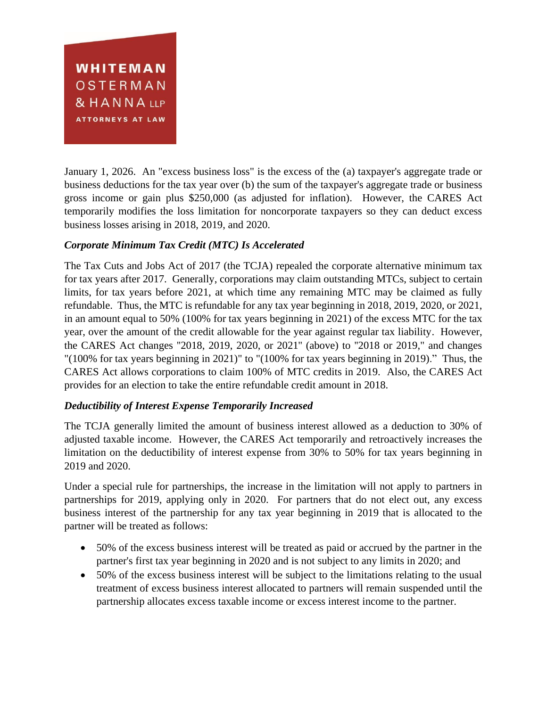

January 1, 2026. An "excess business loss" is the excess of the (a) taxpayer's aggregate trade or business deductions for the tax year over (b) the sum of the taxpayer's aggregate trade or business gross income or gain plus \$250,000 (as adjusted for inflation). However, the CARES Act temporarily modifies the loss limitation for noncorporate taxpayers so they can deduct excess business losses arising in 2018, 2019, and 2020.

## *Corporate Minimum Tax Credit (MTC) Is Accelerated*

The Tax Cuts and Jobs Act of 2017 (the TCJA) repealed the corporate alternative minimum tax for tax years after 2017. Generally, corporations may claim outstanding MTCs, subject to certain limits, for tax years before 2021, at which time any remaining MTC may be claimed as fully refundable. Thus, the MTC is refundable for any tax year beginning in 2018, 2019, 2020, or 2021, in an amount equal to 50% (100% for tax years beginning in 2021) of the excess MTC for the tax year, over the amount of the credit allowable for the year against regular tax liability. However, the CARES Act changes ''2018, 2019, 2020, or 2021'' (above) to ''2018 or 2019," and changes "(100% for tax years beginning in 2021)" to "(100% for tax years beginning in 2019)." Thus, the CARES Act allows corporations to claim 100% of MTC credits in 2019. Also, the CARES Act provides for an election to take the entire refundable credit amount in 2018.

## *Deductibility of Interest Expense Temporarily Increased*

The TCJA generally limited the amount of business interest allowed as a deduction to 30% of adjusted taxable income. However, the CARES Act temporarily and retroactively increases the limitation on the deductibility of interest expense from 30% to 50% for tax years beginning in 2019 and 2020.

Under a special rule for partnerships, the increase in the limitation will not apply to partners in partnerships for 2019, applying only in 2020. For partners that do not elect out, any excess business interest of the partnership for any tax year beginning in 2019 that is allocated to the partner will be treated as follows:

- 50% of the excess business interest will be treated as paid or accrued by the partner in the partner's first tax year beginning in 2020 and is not subject to any limits in 2020; and
- 50% of the excess business interest will be subject to the limitations relating to the usual treatment of excess business interest allocated to partners will remain suspended until the partnership allocates excess taxable income or excess interest income to the partner.